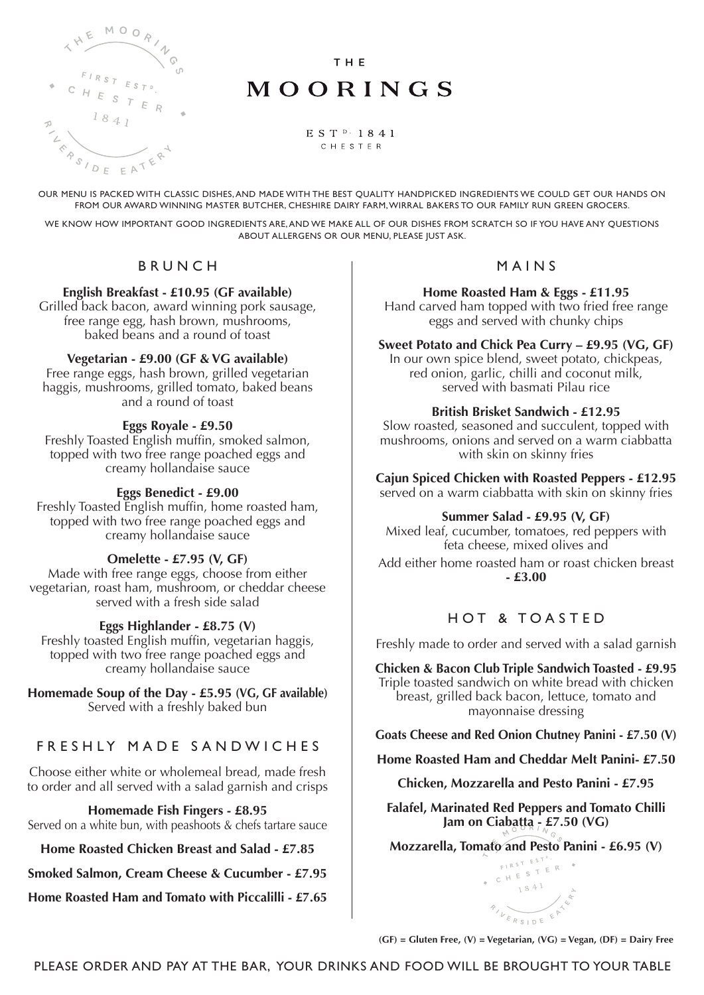

THE

# MOORINGS

EST<sup>D</sup>·1841 CHESTER

OUR MENU IS PACKED WITH CLASSIC DISHES, AND MADE WITH THE BEST QUALITY HANDPICKED INGREDIENTS WE COULD GET OUR HANDS ON FROM OUR AWARD WINNING MASTER BUTCHER, CHESHIRE DAIRY FARM, WIRRAL BAKERS TO OUR FAMILY RUN GREEN GROCERS.

WE KNOW HOW IMPORTANT GOOD INGREDIENTS ARE, AND WE MAKE ALL OF OUR DISHES FROM SCRATCH SO IF YOU HAVE ANY QUESTIONS ABOUT ALLERGENS OR OUR MENU, PLEASE JUST ASK.

### BRUNCH

#### **English Breakfast - £10.95 (GF available)**

Grilled back bacon, award winning pork sausage, free range egg, hash brown, mushrooms, baked beans and a round of toast

### **Vegetarian - £9.00 (GF & VG available)**

Free range eggs, hash brown, grilled vegetarian haggis, mushrooms, grilled tomato, baked beans and a round of toast

#### **Eggs Royale - £9.50**

Freshly Toasted English muffin, smoked salmon, topped with two free range poached eggs and creamy hollandaise sauce

### **Eggs Benedict - £9.00**

Freshly Toasted English muffin, home roasted ham, topped with two free range poached eggs and creamy hollandaise sauce

### **Omelette - £7.95 (V, GF)**

Made with free range eggs, choose from either vegetarian, roast ham, mushroom, or cheddar cheese served with a fresh side salad

### **Eggs Highlander - £8.75 (V)**

Freshly toasted English muffin, vegetarian haggis, topped with two free range poached eggs and creamy hollandaise sauce

**Homemade Soup of the Day - £5.95 (VG, GF available)** Served with a freshly baked bun

### FRESHLY MADE SANDWICHES

Choose either white or wholemeal bread, made fresh to order and all served with a salad garnish and crisps

**Homemade Fish Fingers - £8.95** Served on a white bun, with peashoots & chefs tartare sauce

**Home Roasted Chicken Breast and Salad - £7.85**

**Smoked Salmon, Cream Cheese & Cucumber - £7.95**

**Home Roasted Ham and Tomato with Piccalilli - £7.65**

#### MAINS

**Home Roasted Ham & Eggs - £11.95** Hand carved ham topped with two fried free range eggs and served with chunky chips

**Sweet Potato and Chick Pea Curry – £9.95 (VG, GF)**

In our own spice blend, sweet potato, chickpeas, red onion, garlic, chilli and coconut milk, served with basmati Pilau rice

#### **British Brisket Sandwich - £12.95**

Slow roasted, seasoned and succulent, topped with mushrooms, onions and served on a warm ciabbatta with skin on skinny fries

**Cajun Spiced Chicken with Roasted Peppers - £12.95** served on a warm ciabbatta with skin on skinny fries

#### **Summer Salad - £9.95 (V, GF)**

Mixed leaf, cucumber, tomatoes, red peppers with feta cheese, mixed olives and Add either home roasted ham or roast chicken breast **- £3.00**

### HOT & TOASTED

Freshly made to order and served with a salad garnish

**Chicken & Bacon Club Triple Sandwich Toasted - £9.95** Triple toasted sandwich on white bread with chicken breast, grilled back bacon, lettuce, tomato and mayonnaise dressing

**Goats Cheese and Red Onion Chutney Panini - £7.50 (V)**

**Home Roasted Ham and Cheddar Melt Panini- £7.50**

**Chicken, Mozzarella and Pesto Panini - £7.95**

**Falafel, Marinated Red Peppers and Tomato Chilli Jam on Ciabatta - £7.50 (VG)**

**Mozzarella, Tomato and Pesto Panini - £6.95 (V)**<br>**CONSTRATION** 



**(GF) = Gluten Free, (V) = Vegetarian, (VG) = Vegan, (DF) = Dairy Free**